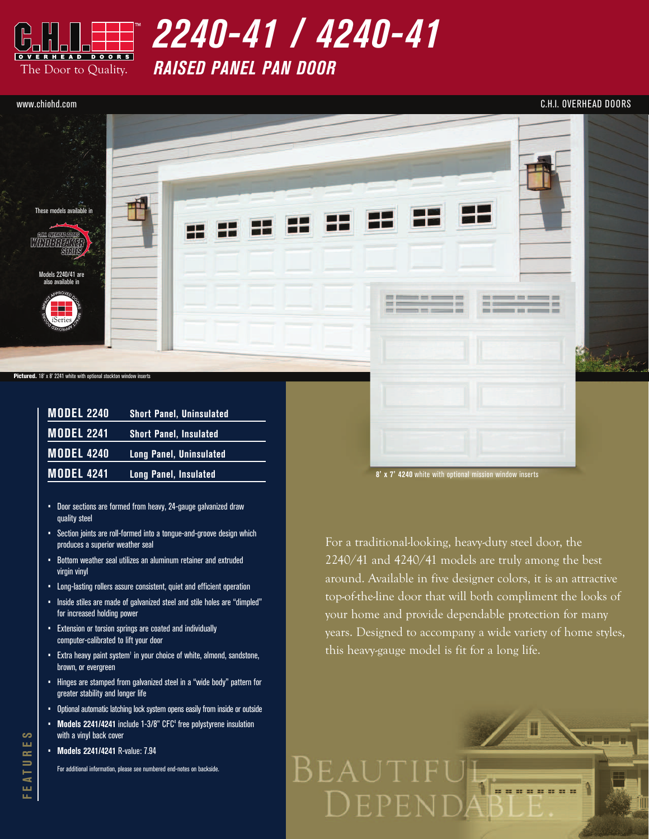

**2240-41 / 4240-41**

**RAISED PANEL PAN DOOR**



| <b>MODEL 2240</b> | <b>Short Panel, Uninsulated</b> |
|-------------------|---------------------------------|
| <b>MODEL 2241</b> | <b>Short Panel, Insulated</b>   |
| <b>MODEL 4240</b> | <b>Long Panel, Uninsulated</b>  |
| <b>MODEL 4241</b> | <b>Long Panel, Insulated</b>    |

- Door sections are formed from heavy, 24-gauge galvanized draw quality steel
- Section joints are roll-formed into a tongue-and-groove design which produces a superior weather seal
- Bottom weather seal utilizes an aluminum retainer and extruded virgin vinyl
- Long-lasting rollers assure consistent, quiet and efficient operation
- Inside stiles are made of galvanized steel and stile holes are "dimpled" for increased holding power
- Extension or torsion springs are coated and individually computer-calibrated to lift your door
- $\textcolor{red}{\bullet}$  Extra heavy paint system $^{\scriptscriptstyle 1}$  in your choice of white, almond, sandstone, brown, or evergreen
- Hinges are stamped from galvanized steel in a "wide body" pattern for greater stability and longer life
- Optional automatic latching lock system opens easily from inside or outside
- **Models 2241/4241** include 1-3/8" CFC<sup>4</sup> free polystyrene insulation with a vinyl back cover
- **Models 2241/4241** R-value: 7.94

For additional information, please see numbered end-notes on backside.

For a traditional-looking, heavy-duty steel door, the 2240/41 and 4240/41 models are truly among the best around. Available in five designer colors, it is an attractive top-of-the-line door that will both compliment the looks of your home and provide dependable protection for many years. Designed to accompany a wide variety of home styles, this heavy-gauge model is fit for a long life.

**8' x 7' 4240** white with optional mission window inserts

## BEAUTIFUI DEPEND